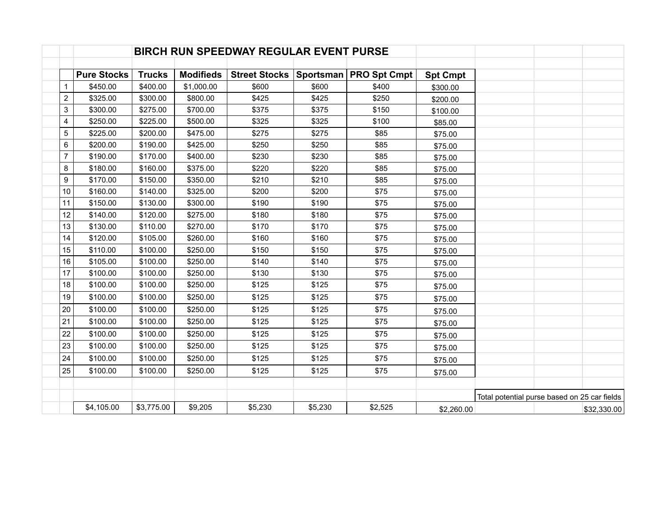|                | <b>BIRCH RUN SPEEDWAY REGULAR EVENT PURSE</b> |               |                  |                      |         |                          |                 |                                              |
|----------------|-----------------------------------------------|---------------|------------------|----------------------|---------|--------------------------|-----------------|----------------------------------------------|
|                | <b>Pure Stocks</b>                            | <b>Trucks</b> | <b>Modifieds</b> | <b>Street Stocks</b> |         | Sportsman   PRO Spt Cmpt | <b>Spt Cmpt</b> |                                              |
| $\mathbf{1}$   | \$450.00                                      | \$400.00      | \$1,000.00       | \$600                | \$600   | \$400                    | \$300.00        |                                              |
| $\overline{c}$ | \$325.00                                      | \$300.00      | \$800.00         | \$425                | \$425   | \$250                    | \$200.00        |                                              |
| $\sqrt{3}$     | \$300.00                                      | \$275.00      | \$700.00         | \$375                | \$375   | \$150                    | \$100.00        |                                              |
| $\overline{4}$ | \$250.00                                      | \$225.00      | \$500.00         | \$325                | \$325   | \$100                    | \$85.00         |                                              |
| 5              | \$225.00                                      | \$200.00      | \$475.00         | \$275                | \$275   | \$85                     | \$75.00         |                                              |
| 6              | \$200.00                                      | \$190.00      | \$425.00         | \$250                | \$250   | \$85                     | \$75.00         |                                              |
| $\overline{7}$ | \$190.00                                      | \$170.00      | \$400.00         | \$230                | \$230   | \$85                     | \$75.00         |                                              |
| 8              | \$180.00                                      | \$160.00      | \$375.00         | \$220                | \$220   | \$85                     | \$75.00         |                                              |
| 9              | \$170.00                                      | \$150.00      | \$350.00         | \$210                | \$210   | \$85                     | \$75.00         |                                              |
| 10             | \$160.00                                      | \$140.00      | \$325.00         | \$200                | \$200   | \$75                     | \$75.00         |                                              |
| 11             | \$150.00                                      | \$130.00      | \$300.00         | \$190                | \$190   | \$75                     | \$75.00         |                                              |
| 12             | \$140.00                                      | \$120.00      | \$275.00         | \$180                | \$180   | \$75                     | \$75.00         |                                              |
| 13             | \$130.00                                      | \$110.00      | \$270.00         | \$170                | \$170   | \$75                     | \$75.00         |                                              |
| 14             | \$120.00                                      | \$105.00      | \$260.00         | \$160                | \$160   | \$75                     | \$75.00         |                                              |
| 15             | \$110.00                                      | \$100.00      | \$250.00         | \$150                | \$150   | \$75                     | \$75.00         |                                              |
| 16             | \$105.00                                      | \$100.00      | \$250.00         | \$140                | \$140   | \$75                     | \$75.00         |                                              |
| 17             | \$100.00                                      | \$100.00      | \$250.00         | \$130                | \$130   | \$75                     | \$75.00         |                                              |
| 18             | \$100.00                                      | \$100.00      | \$250.00         | \$125                | \$125   | \$75                     | \$75.00         |                                              |
| 19             | \$100.00                                      | \$100.00      | \$250.00         | \$125                | \$125   | \$75                     | \$75.00         |                                              |
| 20             | \$100.00                                      | \$100.00      | \$250.00         | \$125                | \$125   | \$75                     | \$75.00         |                                              |
| 21             | \$100.00                                      | \$100.00      | \$250.00         | \$125                | \$125   | \$75                     | \$75.00         |                                              |
| 22             | \$100.00                                      | \$100.00      | \$250.00         | \$125                | \$125   | \$75                     | \$75.00         |                                              |
| 23             | \$100.00                                      | \$100.00      | \$250.00         | \$125                | \$125   | \$75                     | \$75.00         |                                              |
| 24             | \$100.00                                      | \$100.00      | \$250.00         | \$125                | \$125   | \$75                     | \$75.00         |                                              |
| 25             | \$100.00                                      | \$100.00      | \$250.00         | \$125                | \$125   | \$75                     | \$75.00         |                                              |
|                |                                               |               |                  |                      |         |                          |                 | Total potential purse based on 25 car fields |
|                | \$4,105.00                                    | \$3,775.00    | \$9,205          | \$5,230              | \$5,230 | \$2,525                  | \$2,260.00      | \$32,330.00                                  |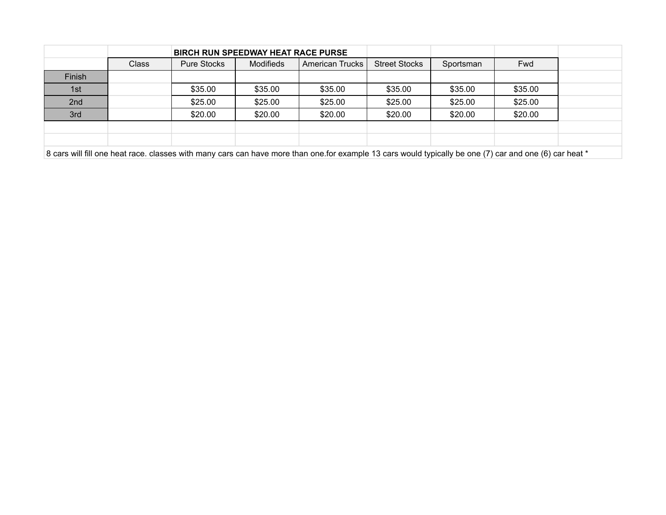|        |       | <b>BIRCH RUN SPEEDWAY HEAT RACE PURSE</b> |                                     |         |                      |           |            |
|--------|-------|-------------------------------------------|-------------------------------------|---------|----------------------|-----------|------------|
|        | Class | <b>Pure Stocks</b>                        | <b>Modifieds</b><br>American Trucks |         | <b>Street Stocks</b> | Sportsman | <b>Fwd</b> |
| Finish |       |                                           |                                     |         |                      |           |            |
| 1st    |       | \$35.00                                   | \$35.00                             | \$35.00 | \$35.00              | \$35.00   | \$35.00    |
| 2nd    |       | \$25.00                                   | \$25.00                             | \$25.00 | \$25.00              | \$25.00   | \$25.00    |
| 3rd    |       | \$20.00                                   | \$20.00                             | \$20.00 | \$20.00              | \$20.00   | \$20.00    |
|        |       |                                           |                                     |         |                      |           |            |
|        |       |                                           |                                     |         |                      |           |            |

8 cars will fill one heat race. classes with many cars can have more than one.for example 13 cars would typically be one (7) car and one (6) car heat \*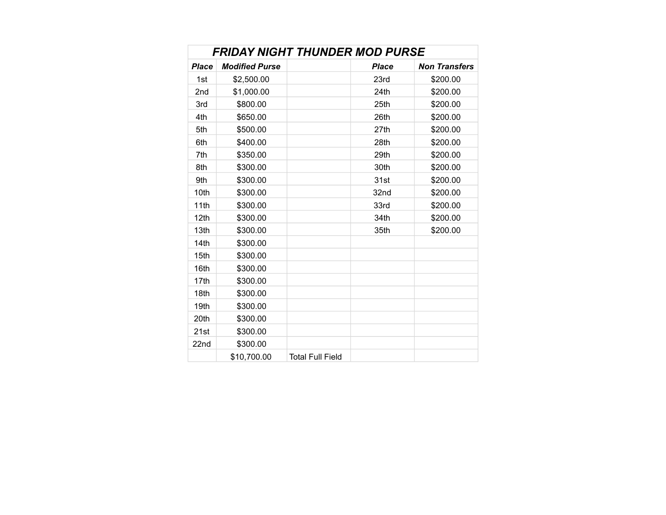| <b>FRIDAY NIGHT THUNDER MOD PURSE</b> |                       |                         |              |                      |  |  |  |  |  |  |
|---------------------------------------|-----------------------|-------------------------|--------------|----------------------|--|--|--|--|--|--|
| <b>Place</b>                          | <b>Modified Purse</b> |                         | <b>Place</b> | <b>Non Transfers</b> |  |  |  |  |  |  |
| 1st                                   | \$2,500.00            |                         | 23rd         | \$200.00             |  |  |  |  |  |  |
| 2nd                                   | \$1,000.00            |                         | 24th         | \$200.00             |  |  |  |  |  |  |
| 3rd                                   | \$800.00              |                         | 25th         | \$200.00             |  |  |  |  |  |  |
| 4th                                   | \$650.00              |                         | 26th         | \$200.00             |  |  |  |  |  |  |
| 5th                                   | \$500.00              |                         | 27th         | \$200.00             |  |  |  |  |  |  |
| 6th                                   | \$400.00              |                         | 28th         | \$200.00             |  |  |  |  |  |  |
| 7th                                   | \$350.00              |                         | 29th         | \$200.00             |  |  |  |  |  |  |
| 8th                                   | \$300.00              |                         | 30th         | \$200.00             |  |  |  |  |  |  |
| 9th                                   | \$300.00              |                         | 31st         | \$200.00             |  |  |  |  |  |  |
| 10th                                  | \$300.00              |                         | 32nd         | \$200.00             |  |  |  |  |  |  |
| 11th                                  | \$300.00              |                         | 33rd         | \$200.00             |  |  |  |  |  |  |
| 12 <sub>th</sub>                      | \$300.00              |                         | 34th         | \$200.00             |  |  |  |  |  |  |
| 13th                                  | \$300.00              |                         | 35th         | \$200.00             |  |  |  |  |  |  |
| 14th                                  | \$300.00              |                         |              |                      |  |  |  |  |  |  |
| 15th                                  | \$300.00              |                         |              |                      |  |  |  |  |  |  |
| 16th                                  | \$300.00              |                         |              |                      |  |  |  |  |  |  |
| 17th                                  | \$300.00              |                         |              |                      |  |  |  |  |  |  |
| 18th                                  | \$300.00              |                         |              |                      |  |  |  |  |  |  |
| 19th                                  | \$300.00              |                         |              |                      |  |  |  |  |  |  |
| 20th                                  | \$300.00              |                         |              |                      |  |  |  |  |  |  |
| 21st                                  | \$300.00              |                         |              |                      |  |  |  |  |  |  |
| 22nd                                  | \$300.00              |                         |              |                      |  |  |  |  |  |  |
|                                       | \$10,700.00           | <b>Total Full Field</b> |              |                      |  |  |  |  |  |  |